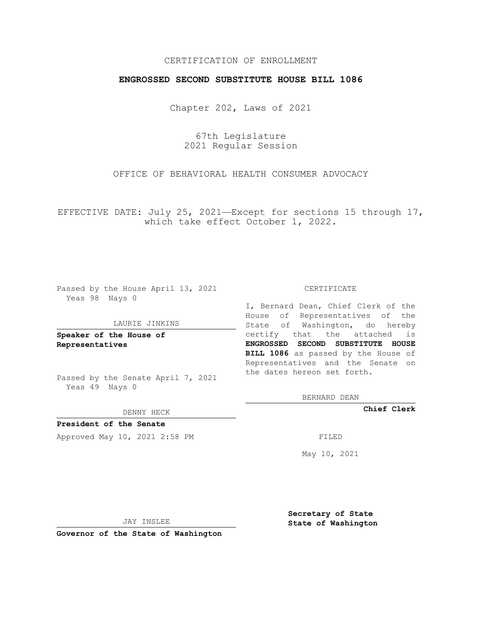## CERTIFICATION OF ENROLLMENT

## **ENGROSSED SECOND SUBSTITUTE HOUSE BILL 1086**

Chapter 202, Laws of 2021

67th Legislature 2021 Regular Session

OFFICE OF BEHAVIORAL HEALTH CONSUMER ADVOCACY

EFFECTIVE DATE: July 25, 2021—Except for sections 15 through 17, which take effect October 1, 2022.

Passed by the House April 13, 2021 Yeas 98 Nays 0

#### LAURIE JINKINS

**Speaker of the House of Representatives**

Passed by the Senate April 7, 2021 Yeas 49 Nays 0

DENNY HECK

**President of the Senate** Approved May 10, 2021 2:58 PM FILED

CERTIFICATE

I, Bernard Dean, Chief Clerk of the House of Representatives of the State of Washington, do hereby certify that the attached is **ENGROSSED SECOND SUBSTITUTE HOUSE BILL 1086** as passed by the House of Representatives and the Senate on the dates hereon set forth.

BERNARD DEAN

**Chief Clerk**

May 10, 2021

JAY INSLEE

**Governor of the State of Washington**

**Secretary of State State of Washington**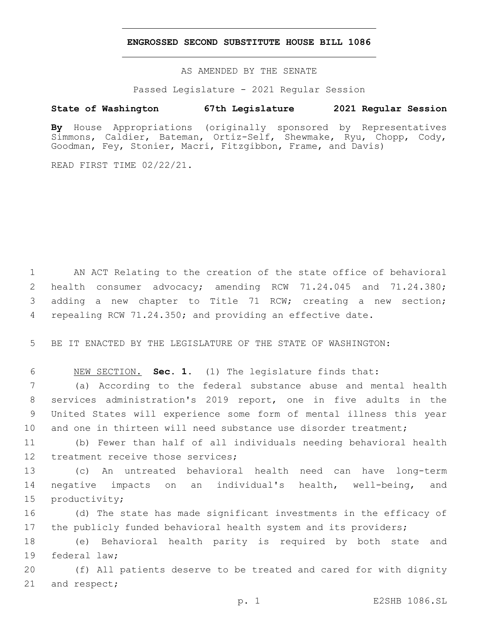### **ENGROSSED SECOND SUBSTITUTE HOUSE BILL 1086**

AS AMENDED BY THE SENATE

Passed Legislature - 2021 Regular Session

# **State of Washington 67th Legislature 2021 Regular Session**

**By** House Appropriations (originally sponsored by Representatives Simmons, Caldier, Bateman, Ortiz-Self, Shewmake, Ryu, Chopp, Cody, Goodman, Fey, Stonier, Macri, Fitzgibbon, Frame, and Davis)

READ FIRST TIME 02/22/21.

 AN ACT Relating to the creation of the state office of behavioral health consumer advocacy; amending RCW 71.24.045 and 71.24.380; adding a new chapter to Title 71 RCW; creating a new section; repealing RCW 71.24.350; and providing an effective date.

5 BE IT ENACTED BY THE LEGISLATURE OF THE STATE OF WASHINGTON:

6 NEW SECTION. **Sec. 1.** (1) The legislature finds that:

 (a) According to the federal substance abuse and mental health services administration's 2019 report, one in five adults in the United States will experience some form of mental illness this year 10 and one in thirteen will need substance use disorder treatment;

11 (b) Fewer than half of all individuals needing behavioral health 12 treatment receive those services;

13 (c) An untreated behavioral health need can have long-term 14 negative impacts on an individual's health, well-being, and 15 productivity;

16 (d) The state has made significant investments in the efficacy of 17 the publicly funded behavioral health system and its providers;

18 (e) Behavioral health parity is required by both state and 19 federal law;

20 (f) All patients deserve to be treated and cared for with dignity 21 and respect;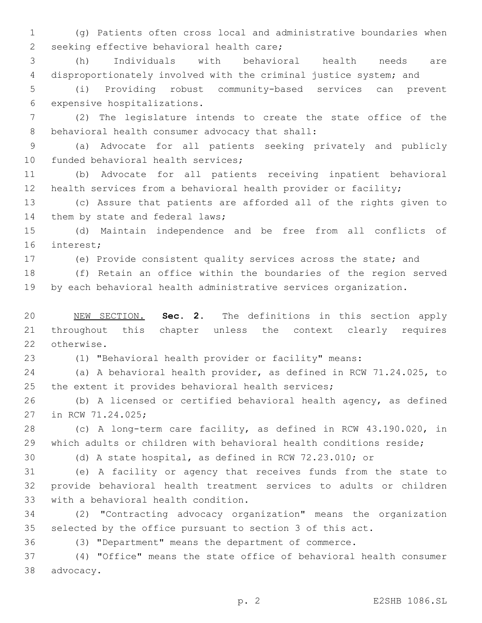(g) Patients often cross local and administrative boundaries when 2 seeking effective behavioral health care;

 (h) Individuals with behavioral health needs are disproportionately involved with the criminal justice system; and

 (i) Providing robust community-based services can prevent 6 expensive hospitalizations.

 (2) The legislature intends to create the state office of the 8 behavioral health consumer advocacy that shall:

 (a) Advocate for all patients seeking privately and publicly 10 funded behavioral health services;

 (b) Advocate for all patients receiving inpatient behavioral health services from a behavioral health provider or facility;

 (c) Assure that patients are afforded all of the rights given to 14 them by state and federal laws;

 (d) Maintain independence and be free from all conflicts of 16 interest;

(e) Provide consistent quality services across the state; and

 (f) Retain an office within the boundaries of the region served by each behavioral health administrative services organization.

 NEW SECTION. **Sec. 2.** The definitions in this section apply throughout this chapter unless the context clearly requires otherwise.

(1) "Behavioral health provider or facility" means:

 (a) A behavioral health provider, as defined in RCW 71.24.025, to the extent it provides behavioral health services;

 (b) A licensed or certified behavioral health agency, as defined 27 in RCW 71.24.025;

 (c) A long-term care facility, as defined in RCW 43.190.020, in which adults or children with behavioral health conditions reside;

(d) A state hospital, as defined in RCW 72.23.010; or

 (e) A facility or agency that receives funds from the state to provide behavioral health treatment services to adults or children 33 with a behavioral health condition.

 (2) "Contracting advocacy organization" means the organization selected by the office pursuant to section 3 of this act.

(3) "Department" means the department of commerce.

 (4) "Office" means the state office of behavioral health consumer 38 advocacy.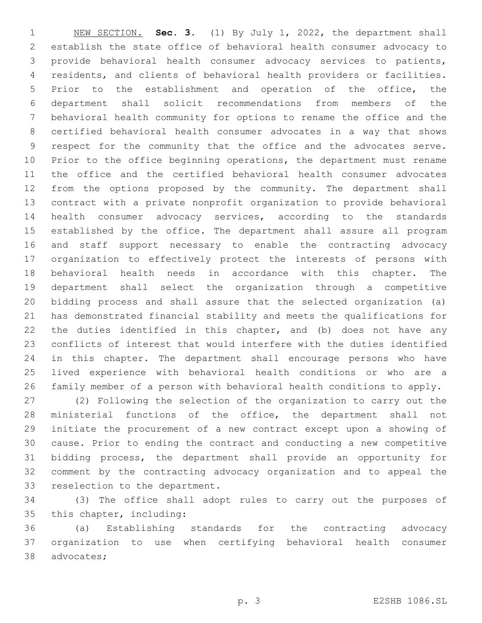NEW SECTION. **Sec. 3.** (1) By July 1, 2022, the department shall establish the state office of behavioral health consumer advocacy to provide behavioral health consumer advocacy services to patients, residents, and clients of behavioral health providers or facilities. Prior to the establishment and operation of the office, the department shall solicit recommendations from members of the behavioral health community for options to rename the office and the certified behavioral health consumer advocates in a way that shows respect for the community that the office and the advocates serve. Prior to the office beginning operations, the department must rename the office and the certified behavioral health consumer advocates from the options proposed by the community. The department shall contract with a private nonprofit organization to provide behavioral health consumer advocacy services, according to the standards established by the office. The department shall assure all program and staff support necessary to enable the contracting advocacy organization to effectively protect the interests of persons with behavioral health needs in accordance with this chapter. The department shall select the organization through a competitive bidding process and shall assure that the selected organization (a) has demonstrated financial stability and meets the qualifications for the duties identified in this chapter, and (b) does not have any conflicts of interest that would interfere with the duties identified in this chapter. The department shall encourage persons who have lived experience with behavioral health conditions or who are a family member of a person with behavioral health conditions to apply.

 (2) Following the selection of the organization to carry out the ministerial functions of the office, the department shall not initiate the procurement of a new contract except upon a showing of cause. Prior to ending the contract and conducting a new competitive bidding process, the department shall provide an opportunity for comment by the contracting advocacy organization and to appeal the 33 reselection to the department.

 (3) The office shall adopt rules to carry out the purposes of 35 this chapter, including:

 (a) Establishing standards for the contracting advocacy organization to use when certifying behavioral health consumer 38 advocates;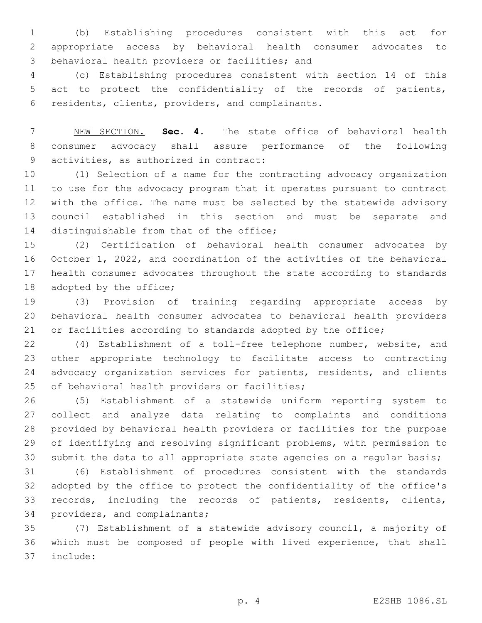(b) Establishing procedures consistent with this act for appropriate access by behavioral health consumer advocates to 3 behavioral health providers or facilities; and

 (c) Establishing procedures consistent with section 14 of this act to protect the confidentiality of the records of patients, 6 residents, clients, providers, and complainants.

 NEW SECTION. **Sec. 4.** The state office of behavioral health consumer advocacy shall assure performance of the following activities, as authorized in contract:

 (1) Selection of a name for the contracting advocacy organization to use for the advocacy program that it operates pursuant to contract with the office. The name must be selected by the statewide advisory council established in this section and must be separate and 14 distinguishable from that of the office;

 (2) Certification of behavioral health consumer advocates by October 1, 2022, and coordination of the activities of the behavioral health consumer advocates throughout the state according to standards 18 adopted by the office;

 (3) Provision of training regarding appropriate access by behavioral health consumer advocates to behavioral health providers 21 or facilities according to standards adopted by the office;

 (4) Establishment of a toll-free telephone number, website, and other appropriate technology to facilitate access to contracting advocacy organization services for patients, residents, and clients 25 of behavioral health providers or facilities;

 (5) Establishment of a statewide uniform reporting system to collect and analyze data relating to complaints and conditions provided by behavioral health providers or facilities for the purpose of identifying and resolving significant problems, with permission to submit the data to all appropriate state agencies on a regular basis;

 (6) Establishment of procedures consistent with the standards adopted by the office to protect the confidentiality of the office's records, including the records of patients, residents, clients, 34 providers, and complainants;

 (7) Establishment of a statewide advisory council, a majority of which must be composed of people with lived experience, that shall include:37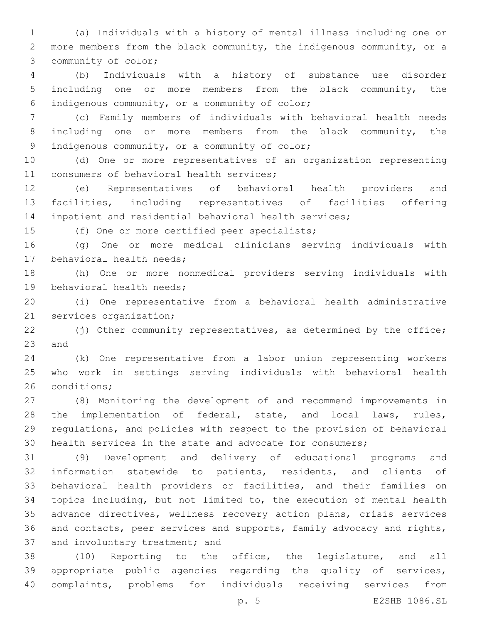(a) Individuals with a history of mental illness including one or more members from the black community, the indigenous community, or a 3 community of color;

 (b) Individuals with a history of substance use disorder including one or more members from the black community, the indigenous community, or a community of color;6

 (c) Family members of individuals with behavioral health needs 8 including one or more members from the black community, the 9 indigenous community, or a community of color;

 (d) One or more representatives of an organization representing 11 consumers of behavioral health services;

 (e) Representatives of behavioral health providers and facilities, including representatives of facilities offering inpatient and residential behavioral health services;

15 (f) One or more certified peer specialists;

 (g) One or more medical clinicians serving individuals with 17 behavioral health needs;

 (h) One or more nonmedical providers serving individuals with 19 behavioral health needs;

 (i) One representative from a behavioral health administrative 21 services organization;

22 (j) Other community representatives, as determined by the office; 23 and

 (k) One representative from a labor union representing workers who work in settings serving individuals with behavioral health 26 conditions;

 (8) Monitoring the development of and recommend improvements in 28 the implementation of federal, state, and local laws, rules, regulations, and policies with respect to the provision of behavioral health services in the state and advocate for consumers;

 (9) Development and delivery of educational programs and information statewide to patients, residents, and clients of behavioral health providers or facilities, and their families on topics including, but not limited to, the execution of mental health advance directives, wellness recovery action plans, crisis services and contacts, peer services and supports, family advocacy and rights, 37 and involuntary treatment; and

 (10) Reporting to the office, the legislature, and all appropriate public agencies regarding the quality of services, complaints, problems for individuals receiving services from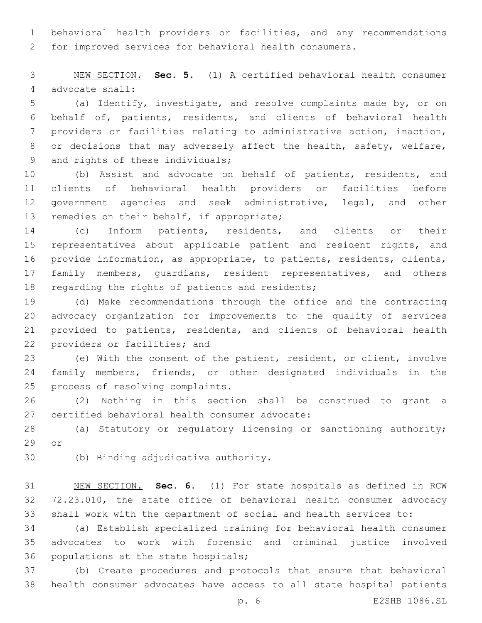behavioral health providers or facilities, and any recommendations for improved services for behavioral health consumers.

 NEW SECTION. **Sec. 5.** (1) A certified behavioral health consumer advocate shall:

 (a) Identify, investigate, and resolve complaints made by, or on behalf of, patients, residents, and clients of behavioral health providers or facilities relating to administrative action, inaction, 8 or decisions that may adversely affect the health, safety, welfare, 9 and rights of these individuals;

 (b) Assist and advocate on behalf of patients, residents, and clients of behavioral health providers or facilities before government agencies and seek administrative, legal, and other 13 remedies on their behalf, if appropriate;

 (c) Inform patients, residents, and clients or their 15 representatives about applicable patient and resident rights, and provide information, as appropriate, to patients, residents, clients, 17 family members, quardians, resident representatives, and others 18 regarding the rights of patients and residents;

 (d) Make recommendations through the office and the contracting advocacy organization for improvements to the quality of services provided to patients, residents, and clients of behavioral health 22 providers or facilities; and

 (e) With the consent of the patient, resident, or client, involve family members, friends, or other designated individuals in the 25 process of resolving complaints.

 (2) Nothing in this section shall be construed to grant a 27 certified behavioral health consumer advocate:

 (a) Statutory or regulatory licensing or sanctioning authority; 29 or

30 (b) Binding adjudicative authority.

 NEW SECTION. **Sec. 6.** (1) For state hospitals as defined in RCW 72.23.010, the state office of behavioral health consumer advocacy shall work with the department of social and health services to:

 (a) Establish specialized training for behavioral health consumer advocates to work with forensic and criminal justice involved 36 populations at the state hospitals;

 (b) Create procedures and protocols that ensure that behavioral health consumer advocates have access to all state hospital patients

p. 6 E2SHB 1086.SL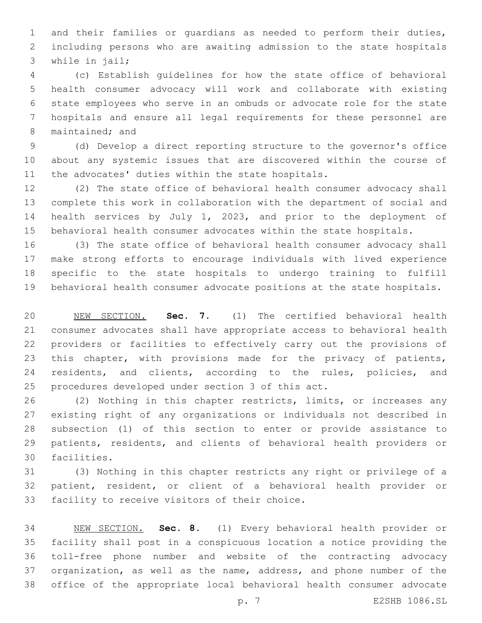and their families or guardians as needed to perform their duties, including persons who are awaiting admission to the state hospitals 3 while in jail;

 (c) Establish guidelines for how the state office of behavioral health consumer advocacy will work and collaborate with existing state employees who serve in an ombuds or advocate role for the state hospitals and ensure all legal requirements for these personnel are 8 maintained; and

 (d) Develop a direct reporting structure to the governor's office about any systemic issues that are discovered within the course of 11 the advocates' duties within the state hospitals.

 (2) The state office of behavioral health consumer advocacy shall complete this work in collaboration with the department of social and health services by July 1, 2023, and prior to the deployment of behavioral health consumer advocates within the state hospitals.

 (3) The state office of behavioral health consumer advocacy shall make strong efforts to encourage individuals with lived experience specific to the state hospitals to undergo training to fulfill behavioral health consumer advocate positions at the state hospitals.

 NEW SECTION. **Sec. 7.** (1) The certified behavioral health consumer advocates shall have appropriate access to behavioral health providers or facilities to effectively carry out the provisions of this chapter, with provisions made for the privacy of patients, 24 residents, and clients, according to the rules, policies, and procedures developed under section 3 of this act.

 (2) Nothing in this chapter restricts, limits, or increases any existing right of any organizations or individuals not described in subsection (1) of this section to enter or provide assistance to patients, residents, and clients of behavioral health providers or 30 facilities.

 (3) Nothing in this chapter restricts any right or privilege of a patient, resident, or client of a behavioral health provider or 33 facility to receive visitors of their choice.

 NEW SECTION. **Sec. 8.** (1) Every behavioral health provider or facility shall post in a conspicuous location a notice providing the toll-free phone number and website of the contracting advocacy organization, as well as the name, address, and phone number of the office of the appropriate local behavioral health consumer advocate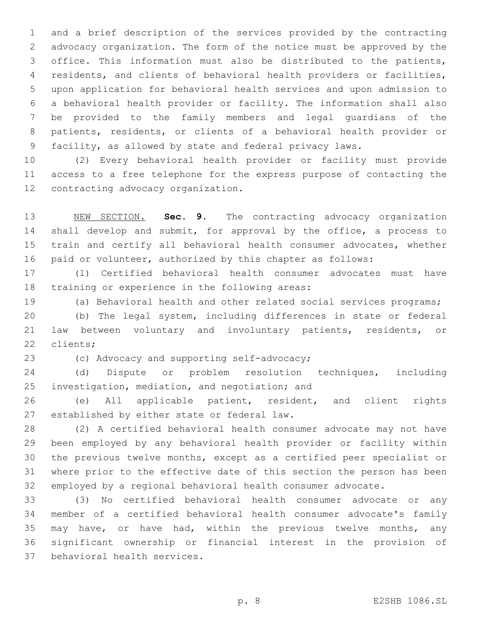and a brief description of the services provided by the contracting advocacy organization. The form of the notice must be approved by the office. This information must also be distributed to the patients, residents, and clients of behavioral health providers or facilities, upon application for behavioral health services and upon admission to a behavioral health provider or facility. The information shall also be provided to the family members and legal guardians of the patients, residents, or clients of a behavioral health provider or facility, as allowed by state and federal privacy laws.

 (2) Every behavioral health provider or facility must provide access to a free telephone for the express purpose of contacting the 12 contracting advocacy organization.

 NEW SECTION. **Sec. 9.** The contracting advocacy organization 14 shall develop and submit, for approval by the office, a process to train and certify all behavioral health consumer advocates, whether paid or volunteer, authorized by this chapter as follows:

 (1) Certified behavioral health consumer advocates must have 18 training or experience in the following areas:

(a) Behavioral health and other related social services programs;

 (b) The legal system, including differences in state or federal law between voluntary and involuntary patients, residents, or 22 clients;

23 (c) Advocacy and supporting self-advocacy;

 (d) Dispute or problem resolution techniques, including 25 investigation, mediation, and negotiation; and

 (e) All applicable patient, resident, and client rights 27 established by either state or federal law.

 (2) A certified behavioral health consumer advocate may not have been employed by any behavioral health provider or facility within the previous twelve months, except as a certified peer specialist or where prior to the effective date of this section the person has been employed by a regional behavioral health consumer advocate.

 (3) No certified behavioral health consumer advocate or any member of a certified behavioral health consumer advocate's family 35 may have, or have had, within the previous twelve months, any significant ownership or financial interest in the provision of 37 behavioral health services.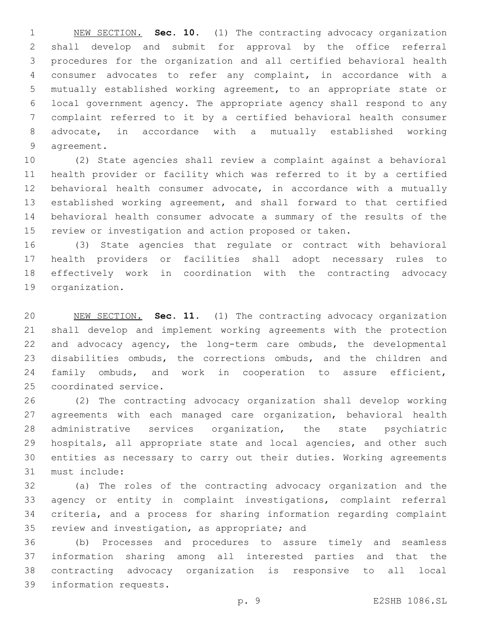NEW SECTION. **Sec. 10.** (1) The contracting advocacy organization shall develop and submit for approval by the office referral procedures for the organization and all certified behavioral health consumer advocates to refer any complaint, in accordance with a mutually established working agreement, to an appropriate state or local government agency. The appropriate agency shall respond to any complaint referred to it by a certified behavioral health consumer advocate, in accordance with a mutually established working agreement.

 (2) State agencies shall review a complaint against a behavioral health provider or facility which was referred to it by a certified behavioral health consumer advocate, in accordance with a mutually established working agreement, and shall forward to that certified behavioral health consumer advocate a summary of the results of the review or investigation and action proposed or taken.

 (3) State agencies that regulate or contract with behavioral health providers or facilities shall adopt necessary rules to effectively work in coordination with the contracting advocacy 19 organization.

 NEW SECTION. **Sec. 11.** (1) The contracting advocacy organization shall develop and implement working agreements with the protection and advocacy agency, the long-term care ombuds, the developmental disabilities ombuds, the corrections ombuds, and the children and family ombuds, and work in cooperation to assure efficient, coordinated service.

 (2) The contracting advocacy organization shall develop working agreements with each managed care organization, behavioral health administrative services organization, the state psychiatric 29 hospitals, all appropriate state and local agencies, and other such entities as necessary to carry out their duties. Working agreements 31 must include:

 (a) The roles of the contracting advocacy organization and the agency or entity in complaint investigations, complaint referral criteria, and a process for sharing information regarding complaint 35 review and investigation, as appropriate; and

 (b) Processes and procedures to assure timely and seamless information sharing among all interested parties and that the contracting advocacy organization is responsive to all local 39 information requests.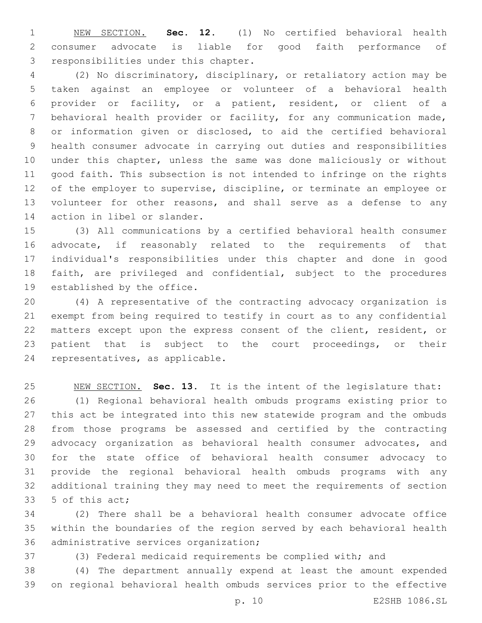NEW SECTION. **Sec. 12.** (1) No certified behavioral health consumer advocate is liable for good faith performance of responsibilities under this chapter.

 (2) No discriminatory, disciplinary, or retaliatory action may be taken against an employee or volunteer of a behavioral health provider or facility, or a patient, resident, or client of a behavioral health provider or facility, for any communication made, or information given or disclosed, to aid the certified behavioral health consumer advocate in carrying out duties and responsibilities under this chapter, unless the same was done maliciously or without good faith. This subsection is not intended to infringe on the rights of the employer to supervise, discipline, or terminate an employee or volunteer for other reasons, and shall serve as a defense to any 14 action in libel or slander.

 (3) All communications by a certified behavioral health consumer advocate, if reasonably related to the requirements of that individual's responsibilities under this chapter and done in good faith, are privileged and confidential, subject to the procedures 19 established by the office.

 (4) A representative of the contracting advocacy organization is exempt from being required to testify in court as to any confidential matters except upon the express consent of the client, resident, or patient that is subject to the court proceedings, or their 24 representatives, as applicable.

 NEW SECTION. **Sec. 13.** It is the intent of the legislature that: (1) Regional behavioral health ombuds programs existing prior to this act be integrated into this new statewide program and the ombuds from those programs be assessed and certified by the contracting advocacy organization as behavioral health consumer advocates, and for the state office of behavioral health consumer advocacy to provide the regional behavioral health ombuds programs with any additional training they may need to meet the requirements of section 33 5 of this act;

 (2) There shall be a behavioral health consumer advocate office within the boundaries of the region served by each behavioral health 36 administrative services organization;

(3) Federal medicaid requirements be complied with; and

 (4) The department annually expend at least the amount expended on regional behavioral health ombuds services prior to the effective

p. 10 E2SHB 1086.SL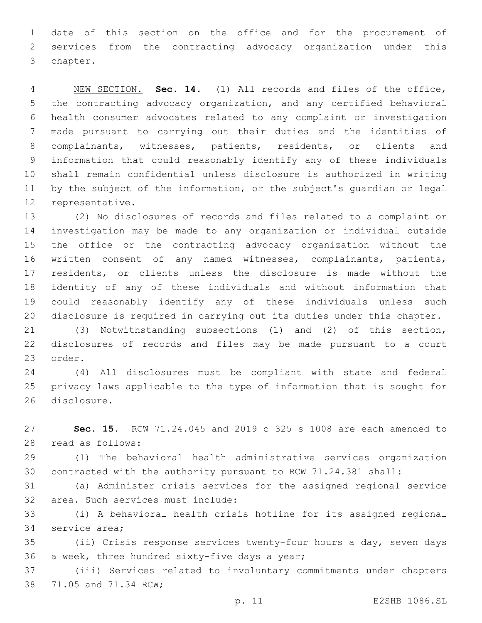date of this section on the office and for the procurement of services from the contracting advocacy organization under this 3 chapter.

 NEW SECTION. **Sec. 14.** (1) All records and files of the office, the contracting advocacy organization, and any certified behavioral health consumer advocates related to any complaint or investigation made pursuant to carrying out their duties and the identities of 8 complainants, witnesses, patients, residents, or clients and information that could reasonably identify any of these individuals shall remain confidential unless disclosure is authorized in writing by the subject of the information, or the subject's guardian or legal representative.

 (2) No disclosures of records and files related to a complaint or investigation may be made to any organization or individual outside the office or the contracting advocacy organization without the written consent of any named witnesses, complainants, patients, residents, or clients unless the disclosure is made without the identity of any of these individuals and without information that could reasonably identify any of these individuals unless such disclosure is required in carrying out its duties under this chapter.

 (3) Notwithstanding subsections (1) and (2) of this section, disclosures of records and files may be made pursuant to a court 23 order.

 (4) All disclosures must be compliant with state and federal privacy laws applicable to the type of information that is sought for 26 disclosure.

 **Sec. 15.** RCW 71.24.045 and 2019 c 325 s 1008 are each amended to 28 read as follows:

 (1) The behavioral health administrative services organization contracted with the authority pursuant to RCW 71.24.381 shall:

 (a) Administer crisis services for the assigned regional service 32 area. Such services must include:

 (i) A behavioral health crisis hotline for its assigned regional 34 service area;

 (ii) Crisis response services twenty-four hours a day, seven days 36 a week, three hundred sixty-five days a year;

 (iii) Services related to involuntary commitments under chapters 38 71.05 and 71.34 RCW;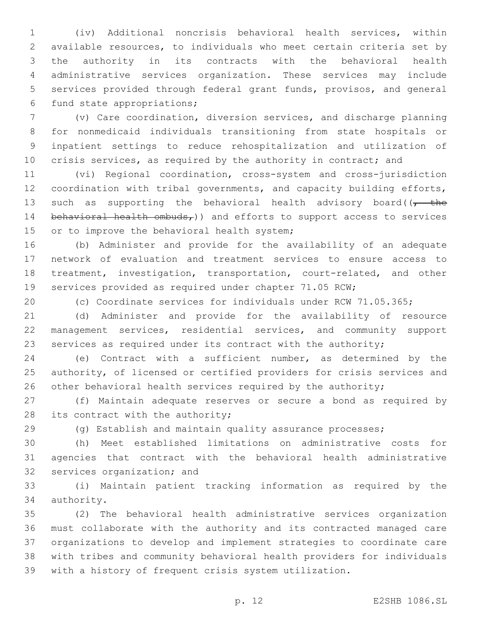(iv) Additional noncrisis behavioral health services, within available resources, to individuals who meet certain criteria set by the authority in its contracts with the behavioral health administrative services organization. These services may include services provided through federal grant funds, provisos, and general 6 fund state appropriations;

 (v) Care coordination, diversion services, and discharge planning for nonmedicaid individuals transitioning from state hospitals or inpatient settings to reduce rehospitalization and utilization of 10 crisis services, as required by the authority in contract; and

 (vi) Regional coordination, cross-system and cross-jurisdiction coordination with tribal governments, and capacity building efforts, 13 such as supporting the behavioral health advisory board( $\sqrt{t}$  the 14 behavioral health ombuds,  $)$  and efforts to support access to services 15 or to improve the behavioral health system;

 (b) Administer and provide for the availability of an adequate network of evaluation and treatment services to ensure access to treatment, investigation, transportation, court-related, and other services provided as required under chapter 71.05 RCW;

(c) Coordinate services for individuals under RCW 71.05.365;

 (d) Administer and provide for the availability of resource management services, residential services, and community support services as required under its contract with the authority;

 (e) Contract with a sufficient number, as determined by the authority, of licensed or certified providers for crisis services and 26 other behavioral health services required by the authority;

 (f) Maintain adequate reserves or secure a bond as required by 28 its contract with the authority;

(g) Establish and maintain quality assurance processes;

 (h) Meet established limitations on administrative costs for agencies that contract with the behavioral health administrative 32 services organization; and

 (i) Maintain patient tracking information as required by the 34 authority.

 (2) The behavioral health administrative services organization must collaborate with the authority and its contracted managed care organizations to develop and implement strategies to coordinate care with tribes and community behavioral health providers for individuals with a history of frequent crisis system utilization.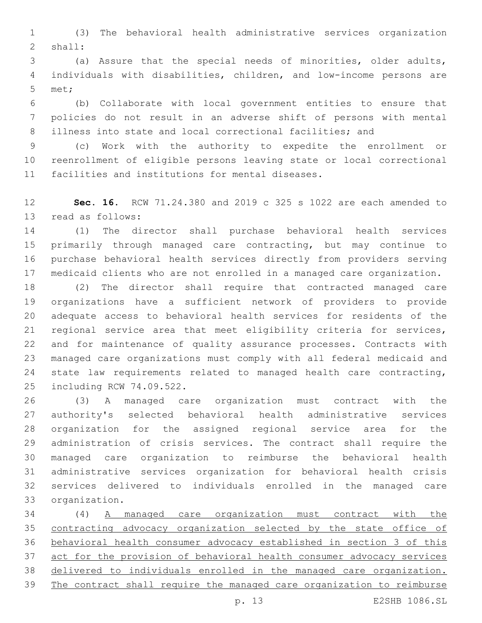(3) The behavioral health administrative services organization 2 shall:

 (a) Assure that the special needs of minorities, older adults, individuals with disabilities, children, and low-income persons are 5 met;

 (b) Collaborate with local government entities to ensure that policies do not result in an adverse shift of persons with mental illness into state and local correctional facilities; and

 (c) Work with the authority to expedite the enrollment or reenrollment of eligible persons leaving state or local correctional 11 facilities and institutions for mental diseases.

 **Sec. 16.** RCW 71.24.380 and 2019 c 325 s 1022 are each amended to 13 read as follows:

 (1) The director shall purchase behavioral health services primarily through managed care contracting, but may continue to purchase behavioral health services directly from providers serving medicaid clients who are not enrolled in a managed care organization.

 (2) The director shall require that contracted managed care organizations have a sufficient network of providers to provide adequate access to behavioral health services for residents of the regional service area that meet eligibility criteria for services, and for maintenance of quality assurance processes. Contracts with managed care organizations must comply with all federal medicaid and state law requirements related to managed health care contracting, 25 including RCW 74.09.522.

 (3) A managed care organization must contract with the authority's selected behavioral health administrative services organization for the assigned regional service area for the administration of crisis services. The contract shall require the managed care organization to reimburse the behavioral health administrative services organization for behavioral health crisis services delivered to individuals enrolled in the managed care 33 organization.

 (4) A managed care organization must contract with the contracting advocacy organization selected by the state office of behavioral health consumer advocacy established in section 3 of this act for the provision of behavioral health consumer advocacy services delivered to individuals enrolled in the managed care organization. The contract shall require the managed care organization to reimburse

p. 13 E2SHB 1086.SL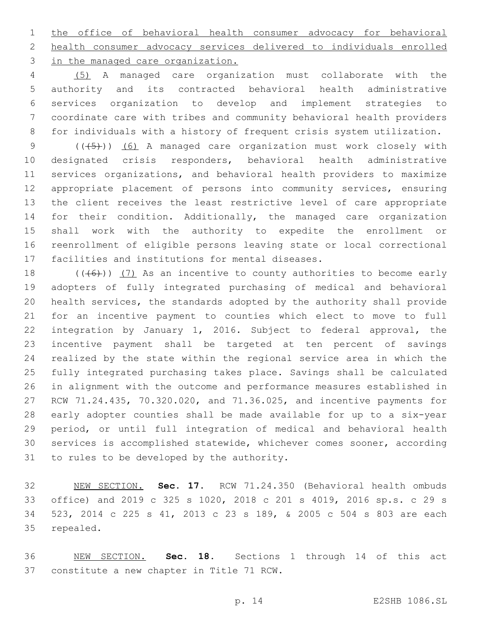the office of behavioral health consumer advocacy for behavioral health consumer advocacy services delivered to individuals enrolled 3 in the managed care organization.

 (5) A managed care organization must collaborate with the authority and its contracted behavioral health administrative services organization to develop and implement strategies to coordinate care with tribes and community behavioral health providers for individuals with a history of frequent crisis system utilization.

9 (( $(45)$ )) (6) A managed care organization must work closely with designated crisis responders, behavioral health administrative services organizations, and behavioral health providers to maximize appropriate placement of persons into community services, ensuring the client receives the least restrictive level of care appropriate for their condition. Additionally, the managed care organization shall work with the authority to expedite the enrollment or reenrollment of eligible persons leaving state or local correctional 17 facilities and institutions for mental diseases.

 $((+6+))$   $(7)$  As an incentive to county authorities to become early adopters of fully integrated purchasing of medical and behavioral health services, the standards adopted by the authority shall provide for an incentive payment to counties which elect to move to full integration by January 1, 2016. Subject to federal approval, the incentive payment shall be targeted at ten percent of savings realized by the state within the regional service area in which the fully integrated purchasing takes place. Savings shall be calculated in alignment with the outcome and performance measures established in RCW 71.24.435, 70.320.020, and 71.36.025, and incentive payments for early adopter counties shall be made available for up to a six-year period, or until full integration of medical and behavioral health services is accomplished statewide, whichever comes sooner, according 31 to rules to be developed by the authority.

 NEW SECTION. **Sec. 17.** RCW 71.24.350 (Behavioral health ombuds office) and 2019 c 325 s 1020, 2018 c 201 s 4019, 2016 sp.s. c 29 s 523, 2014 c 225 s 41, 2013 c 23 s 189, & 2005 c 504 s 803 are each repealed.

 NEW SECTION. **Sec. 18.** Sections 1 through 14 of this act constitute a new chapter in Title 71 RCW.